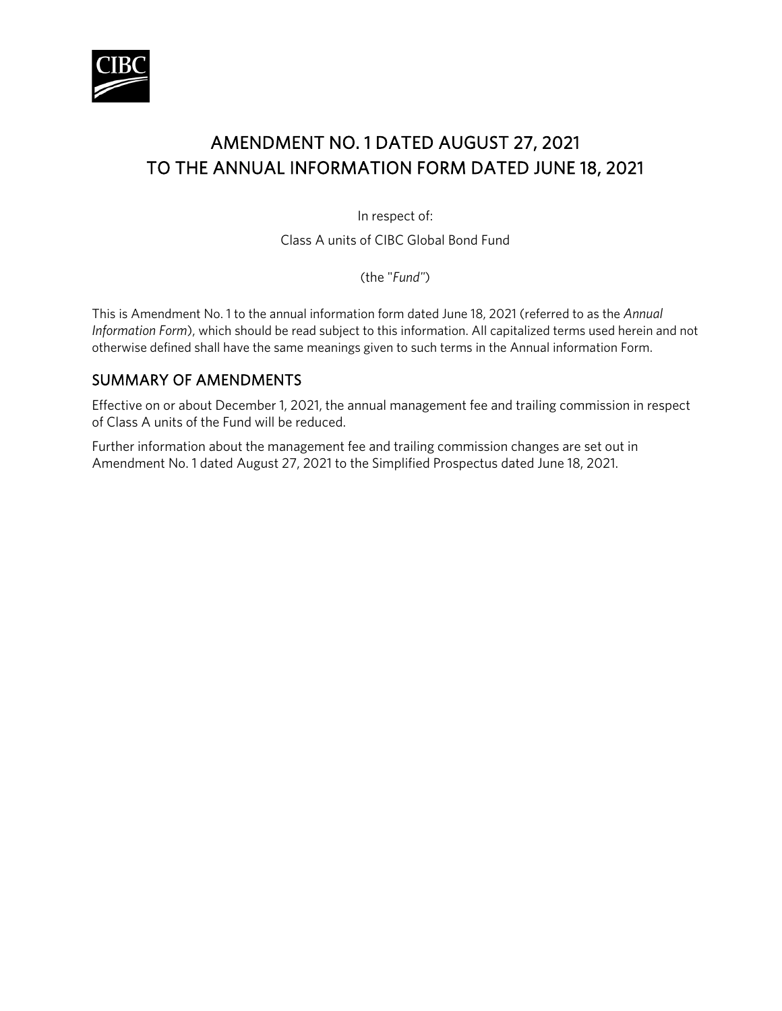

# AMENDMENT NO. 1 DATED AUGUST 27, 2021 TO THE ANNUAL INFORMATION FORM DATED JUNE 18, 2021

In respect of:

Class A units of CIBC Global Bond Fund

(the "*Fund"*)

This is Amendment No. 1 to the annual information form dated June 18, 2021 (referred to as the *Annual Information Form*), which should be read subject to this information. All capitalized terms used herein and not otherwise defined shall have the same meanings given to such terms in the Annual information Form.

# SUMMARY OF AMENDMENTS

Effective on or about December 1, 2021, the annual management fee and trailing commission in respect of Class A units of the Fund will be reduced.

Further information about the management fee and trailing commission changes are set out in Amendment No. 1 dated August 27, 2021 to the Simplified Prospectus dated June 18, 2021.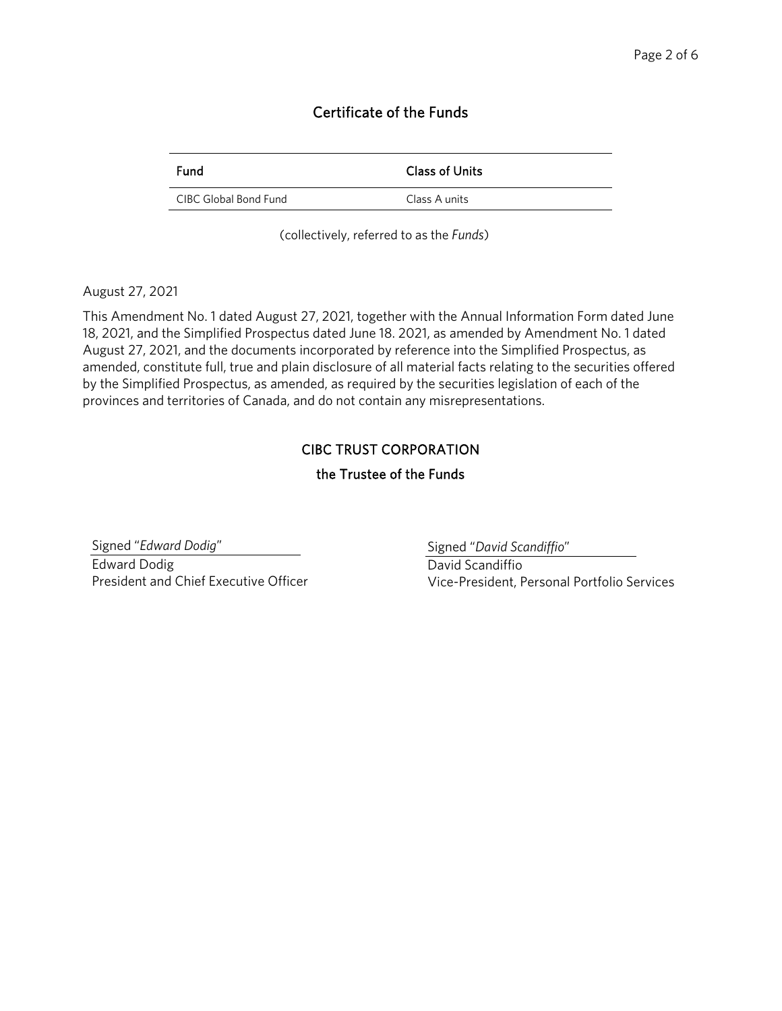#### Certificate of the Funds

| <b>Fund</b>           | <b>Class of Units</b> |
|-----------------------|-----------------------|
| CIBC Global Bond Fund | Class A units         |

(collectively, referred to as the *Funds*)

August 27, 2021

This Amendment No. 1 dated August 27, 2021, together with the Annual Information Form dated June 18, 2021, and the Simplified Prospectus dated June 18. 2021, as amended by Amendment No. 1 dated August 27, 2021, and the documents incorporated by reference into the Simplified Prospectus, as amended, constitute full, true and plain disclosure of all material facts relating to the securities offered by the Simplified Prospectus, as amended, as required by the securities legislation of each of the provinces and territories of Canada, and do not contain any misrepresentations.

#### CIBC TRUST CORPORATION

#### the Trustee of the Funds

Signed "*Edward Dodig*" Edward Dodig President and Chief Executive Officer Signed "*David Scandiffio*"

David Scandiffio Vice-President, Personal Portfolio Services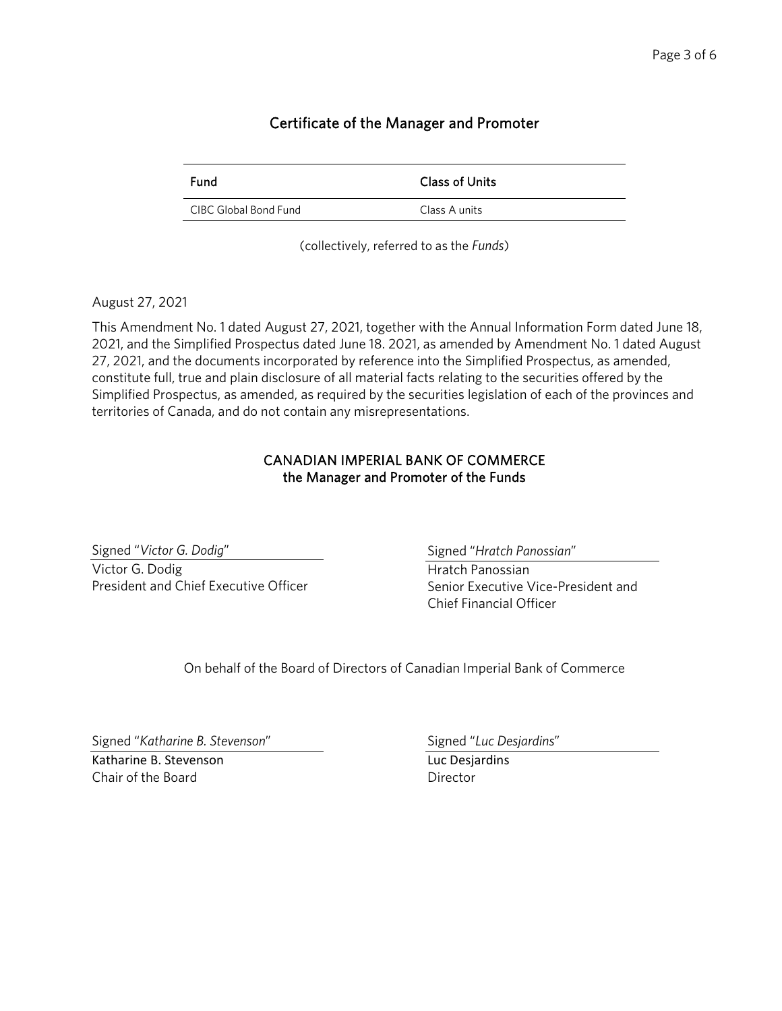## Certificate of the Manager and Promoter

| <b>Fund</b>           | Class of Units |
|-----------------------|----------------|
| CIBC Global Bond Fund | Class A units  |

(collectively, referred to as the *Funds*)

#### August 27, 2021

This Amendment No. 1 dated August 27, 2021, together with the Annual Information Form dated June 18, 2021, and the Simplified Prospectus dated June 18. 2021, as amended by Amendment No. 1 dated August 27, 2021, and the documents incorporated by reference into the Simplified Prospectus, as amended, constitute full, true and plain disclosure of all material facts relating to the securities offered by the Simplified Prospectus, as amended, as required by the securities legislation of each of the provinces and territories of Canada, and do not contain any misrepresentations.

#### CANADIAN IMPERIAL BANK OF COMMERCE the Manager and Promoter of the Funds

Signed "*Victor G. Dodig*" Victor G. Dodig President and Chief Executive Officer Signed "*Hratch Panossian*"

Hratch Panossian Senior Executive Vice-President and Chief Financial Officer

On behalf of the Board of Directors of Canadian Imperial Bank of Commerce

Signed "*Katharine B. Stevenson*"

Katharine B. Stevenson Chair of the Board

Signed "*Luc Desjardins*"

Luc Desjardins **Director**